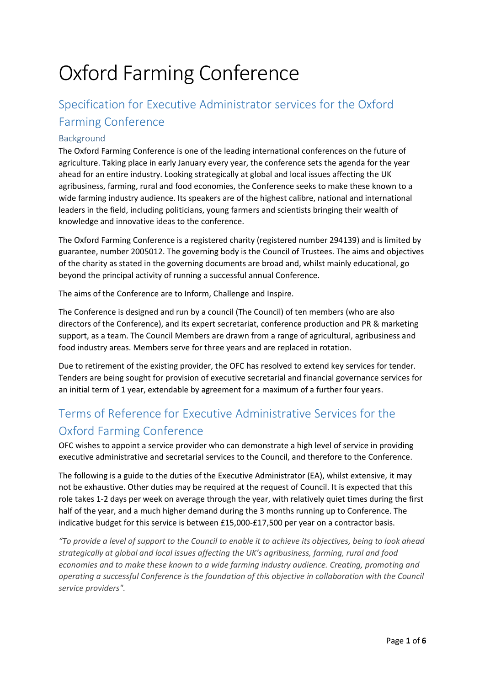# Oxford Farming Conference

# Specification for Executive Administrator services for the Oxford Farming Conference

#### Background

The Oxford Farming Conference is one of the leading international conferences on the future of agriculture. Taking place in early January every year, the conference sets the agenda for the year ahead for an entire industry. Looking strategically at global and local issues affecting the UK agribusiness, farming, rural and food economies, the Conference seeks to make these known to a wide farming industry audience. Its speakers are of the highest calibre, national and international leaders in the field, including politicians, young farmers and scientists bringing their wealth of knowledge and innovative ideas to the conference.

The Oxford Farming Conference is a registered charity (registered number 294139) and is limited by guarantee, number 2005012. The governing body is the Council of Trustees. The aims and objectives of the charity as stated in the governing documents are broad and, whilst mainly educational, go beyond the principal activity of running a successful annual Conference.

The aims of the Conference are to Inform, Challenge and Inspire.

The Conference is designed and run by a council (The Council) of ten members (who are also directors of the Conference), and its expert secretariat, conference production and PR & marketing support, as a team. The Council Members are drawn from a range of agricultural, agribusiness and food industry areas. Members serve for three years and are replaced in rotation.

Due to retirement of the existing provider, the OFC has resolved to extend key services for tender. Tenders are being sought for provision of executive secretarial and financial governance services for an initial term of 1 year, extendable by agreement for a maximum of a further four years.

# Terms of Reference for Executive Administrative Services for the Oxford Farming Conference

OFC wishes to appoint a service provider who can demonstrate a high level of service in providing executive administrative and secretarial services to the Council, and therefore to the Conference.

The following is a guide to the duties of the Executive Administrator (EA), whilst extensive, it may not be exhaustive. Other duties may be required at the request of Council. It is expected that this role takes 1-2 days per week on average through the year, with relatively quiet times during the first half of the year, and a much higher demand during the 3 months running up to Conference. The indicative budget for this service is between £15,000-£17,500 per year on a contractor basis.

*"To provide a level of support to the Council to enable it to achieve its objectives, being to look ahead strategically at global and local issues affecting the UK's agribusiness, farming, rural and food economies and to make these known to a wide farming industry audience. Creating, promoting and operating a successful Conference is the foundation of this objective in collaboration with the Council service providers".*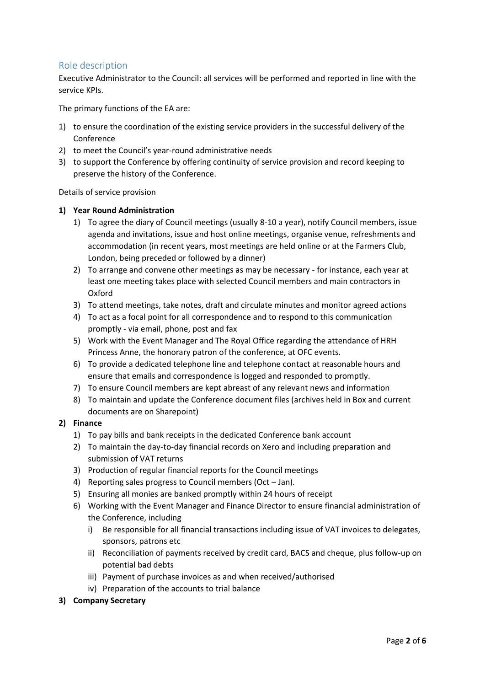#### Role description

Executive Administrator to the Council: all services will be performed and reported in line with the service KPIs.

The primary functions of the EA are:

- 1) to ensure the coordination of the existing service providers in the successful delivery of the Conference
- 2) to meet the Council's year-round administrative needs
- 3) to support the Conference by offering continuity of service provision and record keeping to preserve the history of the Conference.

#### Details of service provision

#### **1) Year Round Administration**

- 1) To agree the diary of Council meetings (usually 8-10 a year), notify Council members, issue agenda and invitations, issue and host online meetings, organise venue, refreshments and accommodation (in recent years, most meetings are held online or at the Farmers Club, London, being preceded or followed by a dinner)
- 2) To arrange and convene other meetings as may be necessary for instance, each year at least one meeting takes place with selected Council members and main contractors in Oxford
- 3) To attend meetings, take notes, draft and circulate minutes and monitor agreed actions
- 4) To act as a focal point for all correspondence and to respond to this communication promptly - via email, phone, post and fax
- 5) Work with the Event Manager and The Royal Office regarding the attendance of HRH Princess Anne, the honorary patron of the conference, at OFC events.
- 6) To provide a dedicated telephone line and telephone contact at reasonable hours and ensure that emails and correspondence is logged and responded to promptly.
- 7) To ensure Council members are kept abreast of any relevant news and information
- 8) To maintain and update the Conference document files (archives held in Box and current documents are on Sharepoint)

#### **2) Finance**

- 1) To pay bills and bank receipts in the dedicated Conference bank account
- 2) To maintain the day-to-day financial records on Xero and including preparation and submission of VAT returns
- 3) Production of regular financial reports for the Council meetings
- 4) Reporting sales progress to Council members (Oct Jan).
- 5) Ensuring all monies are banked promptly within 24 hours of receipt
- 6) Working with the Event Manager and Finance Director to ensure financial administration of the Conference, including
	- i) Be responsible for all financial transactions including issue of VAT invoices to delegates, sponsors, patrons etc
	- ii) Reconciliation of payments received by credit card, BACS and cheque, plus follow-up on potential bad debts
	- iii) Payment of purchase invoices as and when received/authorised
	- iv) Preparation of the accounts to trial balance
- **3) Company Secretary**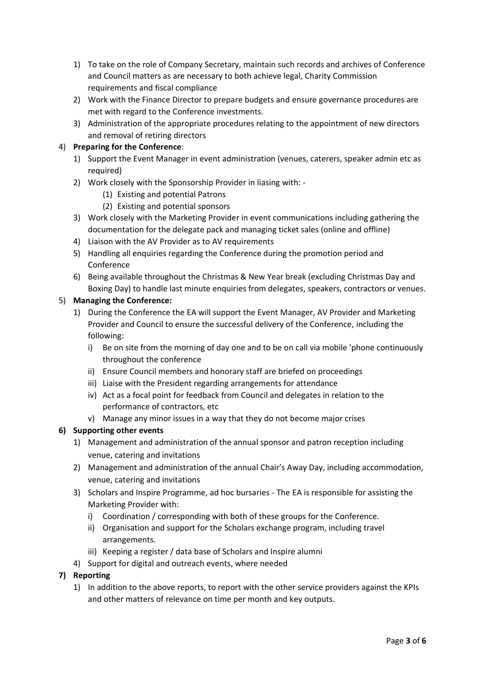- 1) To take on the role of Company Secretary, maintain such records and archives of Conference and Council matters as are necessary to both achieve legal, Charity Commission requirements and fiscal compliance
- 2) Work with the Finance Director to prepare budgets and ensure governance procedures are met with regard to the Conference investments.
- 3) Administration of the appropriate procedures relating to the appointment of new directors and removal of retiring directors

#### 4) **Preparing for the Conference**:

- 1) Support the Event Manager in event administration (venues, caterers, speaker admin etc as required)
- 2) Work closely with the Sponsorship Provider in liasing with:
	- (1) Existing and potential Patrons
	- (2) Existing and potential sponsors
- 3) Work closely with the Marketing Provider in event communications including gathering the documentation for the delegate pack and managing ticket sales (online and offline)
- 4) Liaison with the AV Provider as to AV requirements
- 5) Handling all enquiries regarding the Conference during the promotion period and Conference
- 6) Being available throughout the Christmas & New Year break (excluding Christmas Day and Boxing Day) to handle last minute enquiries from delegates, speakers, contractors or venues.

#### 5) **Managing the Conference:**

- 1) During the Conference the EA will support the Event Manager, AV Provider and Marketing Provider and Council to ensure the successful delivery of the Conference, including the following:
	- i) Be on site from the morning of day one and to be on call via mobile 'phone continuously throughout the conference
	- ii) Ensure Council members and honorary staff are briefed on proceedings
	- iii) Liaise with the President regarding arrangements for attendance
	- iv) Act as a focal point for feedback from Council and delegates in relation to the performance of contractors, etc
	- v) Manage any minor issues in a way that they do not become major crises

#### **6) Supporting other events**

- 1) Management and administration of the annual sponsor and patron reception including venue, catering and invitations
- 2) Management and administration of the annual Chair's Away Day, including accommodation, venue, catering and invitations
- 3) Scholars and Inspire Programme, ad hoc bursaries The EA is responsible for assisting the Marketing Provider with:
	- i) Coordination / corresponding with both of these groups for the Conference.
	- ii) Organisation and support for the Scholars exchange program, including travel arrangements.
	- iii) Keeping a register / data base of Scholars and Inspire alumni
- 4) Support for digital and outreach events, where needed

#### **7) Reporting**

1) In addition to the above reports, to report with the other service providers against the KPIs and other matters of relevance on time per month and key outputs.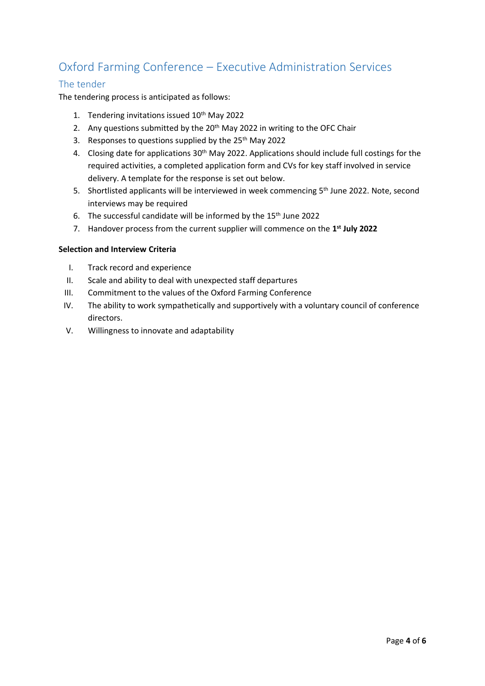# Oxford Farming Conference – Executive Administration Services

### The tender

The tendering process is anticipated as follows:

- 1. Tendering invitations issued 10<sup>th</sup> May 2022
- 2. Any questions submitted by the 20<sup>th</sup> May 2022 in writing to the OFC Chair
- 3. Responses to questions supplied by the 25<sup>th</sup> May 2022
- 4. Closing date for applications 30<sup>th</sup> May 2022. Applications should include full costings for the required activities, a completed application form and CVs for key staff involved in service delivery. A template for the response is set out below.
- 5. Shortlisted applicants will be interviewed in week commencing 5<sup>th</sup> June 2022. Note, second interviews may be required
- 6. The successful candidate will be informed by the  $15<sup>th</sup>$  June 2022
- 7. Handover process from the current supplier will commence on the **1 st July 2022**

#### **Selection and Interview Criteria**

- I. Track record and experience
- II. Scale and ability to deal with unexpected staff departures
- III. Commitment to the values of the Oxford Farming Conference
- IV. The ability to work sympathetically and supportively with a voluntary council of conference directors.
- V. Willingness to innovate and adaptability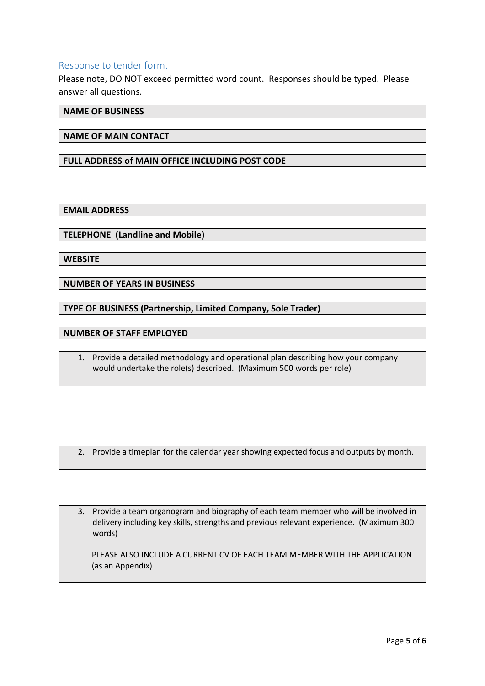#### Response to tender form.

Please note, DO NOT exceed permitted word count. Responses should be typed. Please answer all questions.

**NAME OF BUSINESS**

#### **NAME OF MAIN CONTACT**

#### **FULL ADDRESS of MAIN OFFICE INCLUDING POST CODE**

**EMAIL ADDRESS**

**TELEPHONE (Landline and Mobile)**

**WEBSITE**

**NUMBER OF YEARS IN BUSINESS**

**TYPE OF BUSINESS (Partnership, Limited Company, Sole Trader)**

**NUMBER OF STAFF EMPLOYED** 

1. Provide a detailed methodology and operational plan describing how your company would undertake the role(s) described. (Maximum 500 words per role)

2. Provide a timeplan for the calendar year showing expected focus and outputs by month.

3. Provide a team organogram and biography of each team member who will be involved in delivery including key skills, strengths and previous relevant experience. (Maximum 300 words)

 PLEASE ALSO INCLUDE A CURRENT CV OF EACH TEAM MEMBER WITH THE APPLICATION (as an Appendix)